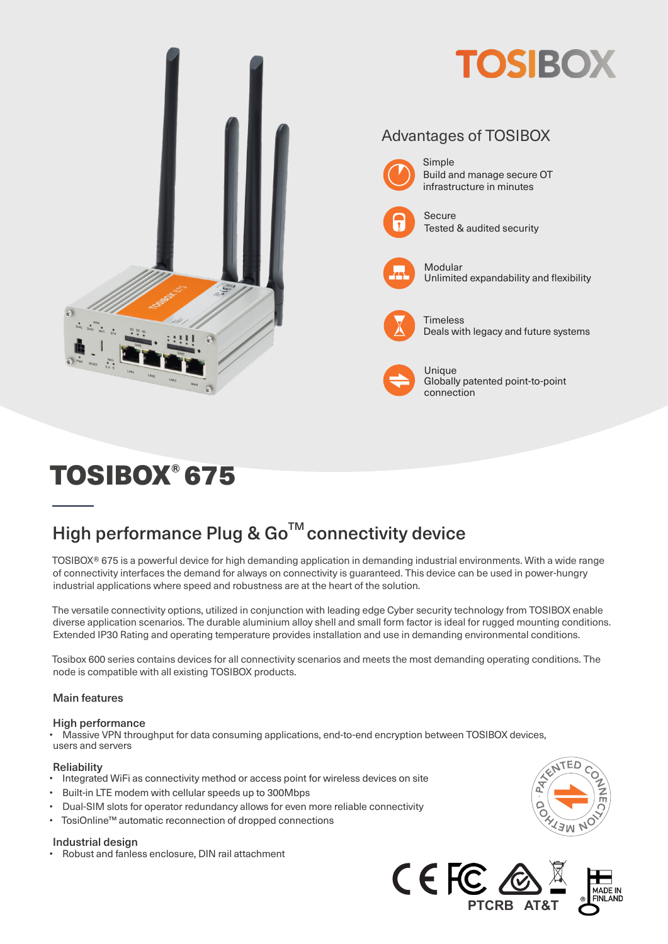

# TOSIBOX® 675

# High performance Plug & Go<sup>™</sup> connectivity device

TOSIBOX® 675 is a powerful device for high demanding application in demanding industrial environments. With a wide range of connectivity interfaces the demand for always on connectivity is guaranteed. This device can be used in power-hungry industrial applications where speed and robustness are at the heart of the solution.

The versatile connectivity options, utilized in conjunction with leading edge Cyber security technology from TOSIBOX enable diverse application scenarios. The durable aluminium alloy shell and small form factor is ideal for rugged mounting conditions. Extended IP30 Rating and operating temperature provides installation and use in demanding environmental conditions.

Tosibox 600 series contains devices for all connectivity scenarios and meets the most demanding operating conditions. The node is compatible with all existing TOSIBOX products.

### Main features

#### High performance

• Massive VPN throughput for data consuming applications, end-to-end encryption between TOSIBOX devices, users and servers

#### **Reliability**

- Integrated WiFi as connectivity method or access point for wireless devices on site
- Built-in LTE modem with cellular speeds up to 300Mbps
- Dual-SIM slots for operator redundancy allows for even more reliable connectivity
- TosiOnline™ automatic reconnection of dropped connections

#### Industrial design

• Robust and fanless enclosure, DIN rail attachment



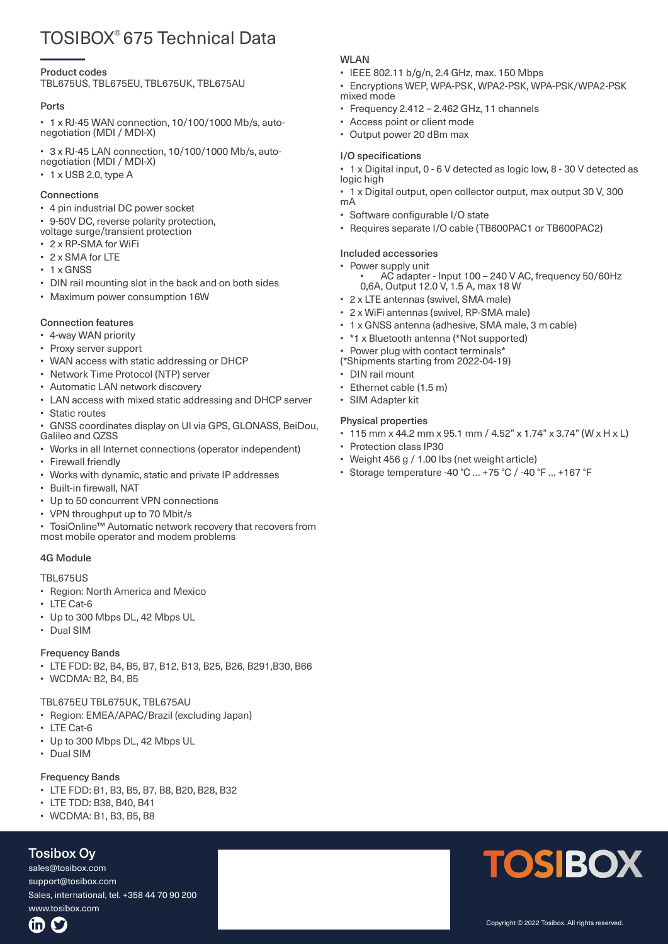# TOSIBOX® 675 Technical Data

#### Product codes

TBL675US, TBL675EU, TBL675UK, TBL675AU

#### Ports

• 1 x RJ-45 WAN connection, 10/100/1000 Mb/s, autonegotiation (MDI / MDI-X)

• 3 x RJ-45 LAN connection, 10/100/1000 Mb/s, autonegotiation (MDI / MDI-X)

• 1 x USB 2.0, type A

#### **Connections**

- 4 pin industrial DC power socket
- 9-50V DC, reverse polarity protection,
- voltage surge/transient protection
- 2 x RP-SMA for WiFi
- 2 x SMA for LTE
- 1 x GNSS
- DIN rail mounting slot in the back and on both sides
- Maximum power consumption 16W

#### Connection features

- 4-way WAN priority
- Proxy server support
- WAN access with static addressing or DHCP
- Network Time Protocol (NTP) server
- Automatic LAN network discovery
- LAN access with mixed static addressing and DHCP server • Static routes
- GNSS coordinates display on UI via GPS, GLONASS, BeiDou, Galileo and QZSS
- Works in all Internet connections (operator independent)
- Firewall friendly
- Works with dynamic, static and private IP addresses
- Built-in firewall, NAT
- Up to 50 concurrent VPN connections
- VPN throughput up to 70 Mbit/s
- TosiOnline™ Automatic network recovery that recovers from most mobile operator and modem problems

#### 4G Module

#### TBL675US

- Region: North America and Mexico
- LTE Cat-6
- Up to 300 Mbps DL, 42 Mbps UL
- Dual SIM

#### Frequency Bands

- LTE FDD: B2, B4, B5, B7, B12, B13, B25, B26, B291,B30, B66
- WCDMA: B2, B4, B5

# TBL675EU TBL675UK, TBL675AU

- Region: EMEA/APAC/Brazil (excluding Japan)
- LTE Cat-6
- Up to 300 Mbps DL, 42 Mbps UL
- Dual SIM

#### Frequency Bands

- LTE FDD: B1, B3, B5, B7, B8, B20, B28, B32
- LTE TDD: B38, B40, B41
- WCDMA: B1, B3, B5, B8

#### sales@tosibox.com Tosibox Oy

**Finland**

sales@tosibox.com<br>. Sales, International Tel. +358 447090200 support@tosibox.com Sales, international, tel. +358 44 70 90 200 www.tosibox.com

## WI AN

- IEEE 802.11 b/g/n, 2.4 GHz, max. 150 Mbps
- Encryptions WEP, WPA-PSK, WPA2-PSK, WPA-PSK/WPA2-PSK mixed mode
- Frequency 2.412 2.462 GHz, 11 channels
- Access point or client mode
- Output power 20 dBm max

## I/O specifications

- 1 x Digital input, 0 6 V detected as logic low, 8 30 V detected as logic high
- 1 x Digital output, open collector output, max output 30 V, 300 mA
- Software configurable I/O state
- Requires separate I/O cable (TB600PAC1 or TB600PAC2)

# Included accessories

- Power supply unit AC adapter Input 100 240 V AC, frequency 50/60Hz
	- 0,6A, Output 12.0 V, 1.5 A, max 18 W
- 2 x LTE antennas (swivel, SMA male)
- 2 x WiFi antennas (swivel, RP-SMA male)
- 1 x GNSS antenna (adhesive, SMA male, 3 m cable)
- \*1 x Bluetooth antenna (\*Not supported)
- Power plug with contact terminals\*
- (\*Shipments starting from 2022-04-19)
- DIN rail mount
- Ethernet cable (1.5 m)
- SIM Adapter kit

## Physical properties

- 115 mm x 44.2 mm x 95.1 mm / 4.52" x 1.74" x 3.74" (W x H x L)
- Protection class IP30
- Weight 456 g / 1.00 lbs (net weight article)
- Storage temperature -40 °C … +75 °C / -40 °F … +167 °F